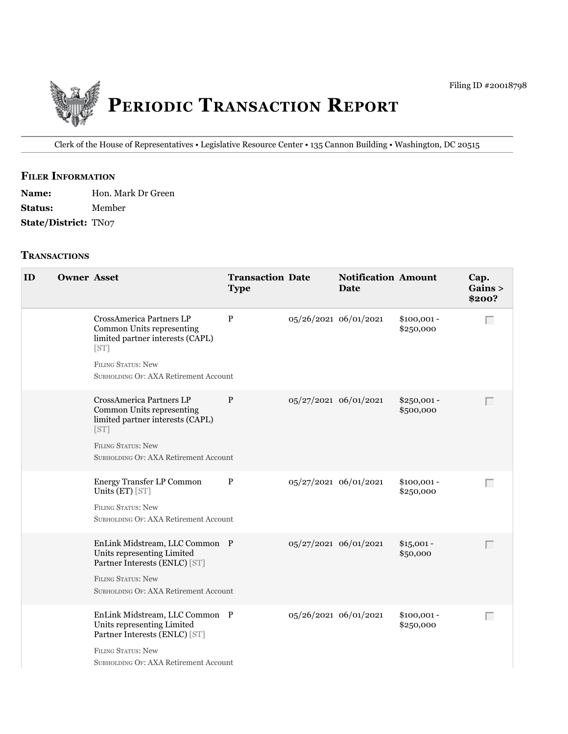

Clerk of the House of Representatives • legislative Resource Center • 135 Cannon building • Washington, DC 20515

# **filer information**

| <b>Name:</b>                | Hon. Mark Dr Green |
|-----------------------------|--------------------|
| <b>Status:</b>              | Member             |
| <b>State/District: TN07</b> |                    |

#### **tranSactionS**

| ID | <b>Owner Asset</b> |                                                                                                                                                                         | <b>Transaction Date</b><br><b>Type</b> | <b>Notification Amount</b><br><b>Date</b> |                           | Cap.<br>Gains ><br>\$200? |
|----|--------------------|-------------------------------------------------------------------------------------------------------------------------------------------------------------------------|----------------------------------------|-------------------------------------------|---------------------------|---------------------------|
|    |                    | CrossAmerica Partners LP<br>Common Units representing<br>limited partner interests (CAPL)<br>[ST]<br><b>FILING STATUS: New</b><br>SUBHOLDING OF: AXA Retirement Account | $\mathbf{P}$                           | 05/26/2021 06/01/2021                     | $$100,001 -$<br>\$250,000 | Г                         |
|    |                    | CrossAmerica Partners LP<br>Common Units representing<br>limited partner interests (CAPL)<br>[ST]<br><b>FILING STATUS: New</b><br>SUBHOLDING OF: AXA Retirement Account | P                                      | 05/27/2021 06/01/2021                     | $$250,001 -$<br>\$500,000 | Г                         |
|    |                    | Energy Transfer LP Common<br>Units (ET) [ST]<br><b>FILING STATUS: New</b><br>SUBHOLDING OF: AXA Retirement Account                                                      | $\mathbf{P}$                           | 05/27/2021 06/01/2021                     | $$100,001 -$<br>\$250,000 | Г                         |
|    |                    | EnLink Midstream, LLC Common P<br>Units representing Limited<br>Partner Interests (ENLC) [ST]<br><b>FILING STATUS: New</b><br>SUBHOLDING OF: AXA Retirement Account     |                                        | 05/27/2021 06/01/2021                     | $$15,001 -$<br>\$50,000   | Г                         |
|    |                    | EnLink Midstream, LLC Common P<br>Units representing Limited<br>Partner Interests (ENLC) [ST]<br><b>FILING STATUS: New</b><br>SUBHOLDING OF: AXA Retirement Account     |                                        | 05/26/2021 06/01/2021                     | $$100,001 -$<br>\$250,000 | Г                         |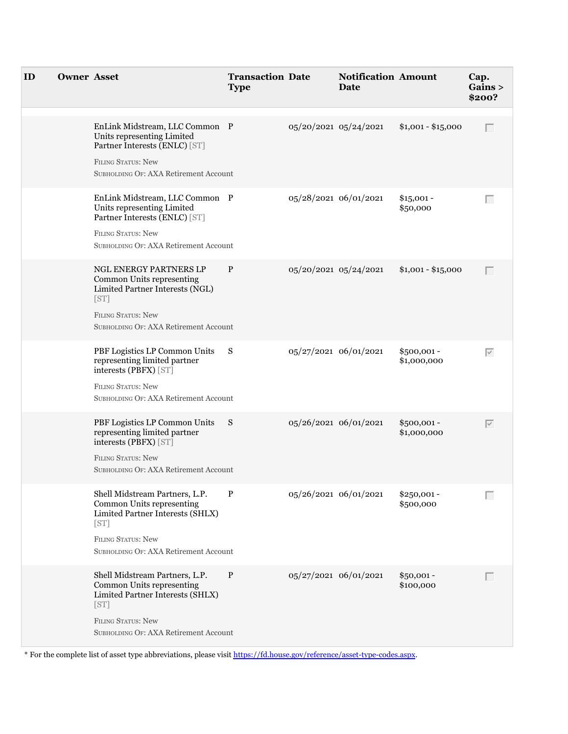| ID | <b>Owner Asset</b> |                                                                                                                                                                               | <b>Transaction Date</b><br><b>Type</b> |                       | <b>Notification Amount</b><br>Date |                             | Cap.<br>Gains ><br>\$200? |
|----|--------------------|-------------------------------------------------------------------------------------------------------------------------------------------------------------------------------|----------------------------------------|-----------------------|------------------------------------|-----------------------------|---------------------------|
|    |                    | EnLink Midstream, LLC Common P<br>Units representing Limited<br>Partner Interests (ENLC) [ST]<br>FILING STATUS: New<br>SUBHOLDING OF: AXA Retirement Account                  |                                        | 05/20/2021 05/24/2021 |                                    | $$1,001 - $15,000$          | $\Box$                    |
|    |                    | EnLink Midstream, LLC Common P<br>Units representing Limited<br>Partner Interests (ENLC) [ST]<br><b>FILING STATUS: New</b><br>SUBHOLDING OF: AXA Retirement Account           |                                        | 05/28/2021 06/01/2021 |                                    | $$15,001 -$<br>\$50,000     | Г                         |
|    |                    | NGL ENERGY PARTNERS LP<br>Common Units representing<br>Limited Partner Interests (NGL)<br>[ST]<br><b>FILING STATUS: New</b><br>SUBHOLDING OF: AXA Retirement Account          | P                                      | 05/20/2021 05/24/2021 |                                    | $$1,001 - $15,000$          | $\Box$                    |
|    |                    | PBF Logistics LP Common Units S<br>representing limited partner<br>interests (PBFX) [ST]<br><b>FILING STATUS: New</b><br>SUBHOLDING OF: AXA Retirement Account                |                                        | 05/27/2021 06/01/2021 |                                    | $$500,001 -$<br>\$1,000,000 | $\overline{\vee}$         |
|    |                    | PBF Logistics LP Common Units S<br>representing limited partner<br>interests (PBFX) [ST]<br>FILING STATUS: New<br>SUBHOLDING OF: AXA Retirement Account                       |                                        | 05/26/2021 06/01/2021 |                                    | \$500,001-<br>\$1,000,000   | $\overline{\vee}$         |
|    |                    | Shell Midstream Partners, L.P.<br>Common Units representing<br>Limited Partner Interests (SHLX)<br>[ST]<br><b>FILING STATUS: New</b><br>SUBHOLDING OF: AXA Retirement Account | P                                      | 05/26/2021 06/01/2021 |                                    | \$250,001 -<br>\$500,000    | Г                         |
|    |                    | Shell Midstream Partners, L.P.<br>Common Units representing<br>Limited Partner Interests (SHLX)<br>[ST]<br><b>FILING STATUS: New</b><br>SUBHOLDING OF: AXA Retirement Account | $\mathbf{P}$                           | 05/27/2021 06/01/2021 |                                    | $$50,001 -$<br>\$100,000    | $\Box$                    |

\* For the complete list of asset type abbreviations, please visit<https://fd.house.gov/reference/asset-type-codes.aspx>.